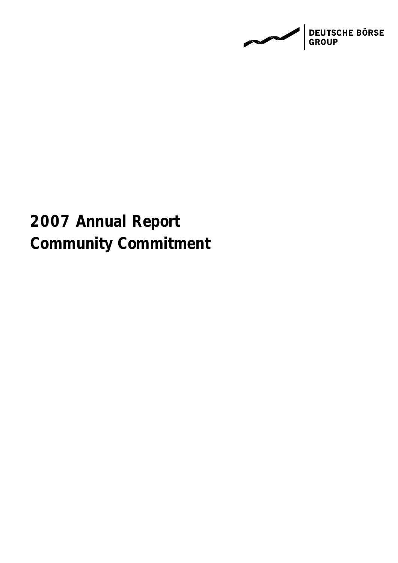

# **2007 Annual Report Community Commitment**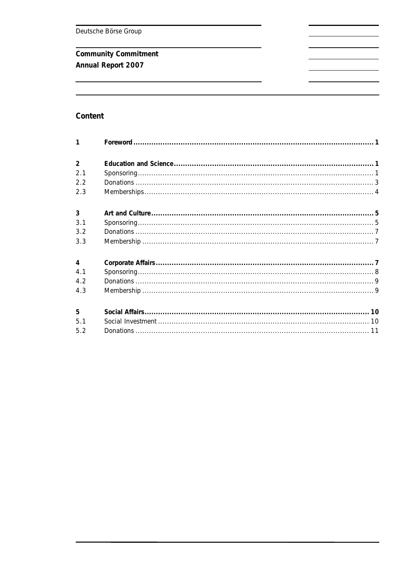# Community Commitment Annual Report 2007

# Content

| $\mathbf{1}$   |  |
|----------------|--|
| 2              |  |
| 2.1            |  |
| 2.2            |  |
| 2.3            |  |
| 3              |  |
| 3.1            |  |
| 3.2            |  |
| 3.3            |  |
| $\overline{4}$ |  |
| 4.1            |  |
| 4.2            |  |
| 4.3            |  |
| 5              |  |
| 5.1            |  |
| 5.2            |  |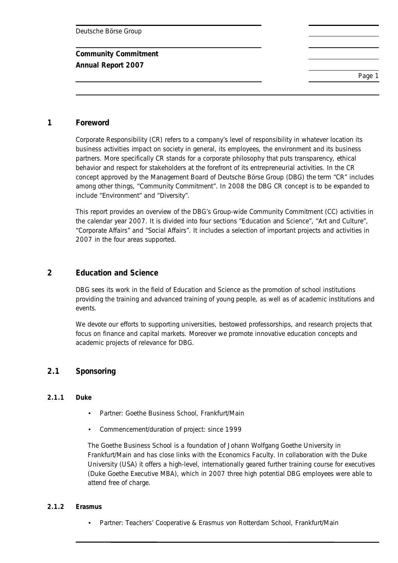**Community Commitment Annual Report 2007** 

Page 1

#### **1 Foreword**

Corporate Responsibility (CR) refers to a company's level of responsibility in whatever location its business activities impact on society in general, its employees, the environment and its business partners. More specifically CR stands for a corporate philosophy that puts transparency, ethical behavior and respect for stakeholders at the forefront of its entrepreneurial activities. In the CR concept approved by the Management Board of Deutsche Börse Group (DBG) the term "CR" includes among other things, "Community Commitment". In 2008 the DBG CR concept is to be expanded to include "Environment" and "Diversity".

This report provides an overview of the DBG's Group-wide Community Commitment (CC) activities in the calendar year 2007. It is divided into four sections "Education and Science", "Art and Culture", "Corporate Affairs" and "Social Affairs". It includes a selection of important projects and activities in 2007 in the four areas supported.

#### **2 Education and Science**

DBG sees its work in the field of Education and Science as the promotion of school institutions providing the training and advanced training of young people, as well as of academic institutions and events.

We devote our efforts to supporting universities, bestowed professorships, and research projects that focus on finance and capital markets. Moreover we promote innovative education concepts and academic projects of relevance for DBG.

#### **2.1 Sponsoring**

#### **2.1.1 Duke**

- Partner: Goethe Business School, Frankfurt/Main
- Commencement/duration of project: since 1999

The Goethe Business School is a foundation of Johann Wolfgang Goethe University in Frankfurt/Main and has close links with the Economics Faculty. In collaboration with the Duke University (USA) it offers a high-level, internationally geared further training course for executives (Duke Goethe Executive MBA), which in 2007 three high potential DBG employees were able to attend free of charge.

#### **2.1.2 Erasmus**

Partner: Teachers' Cooperative & Erasmus von Rotterdam School, Frankfurt/Main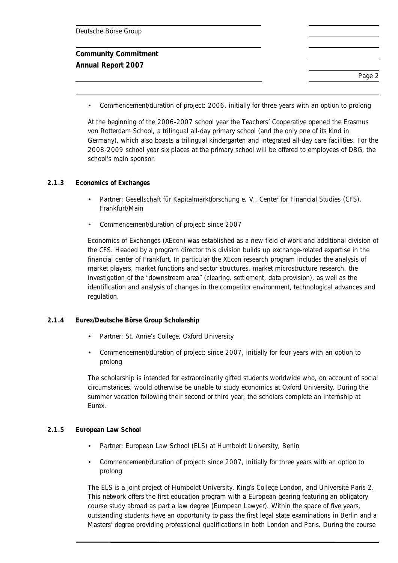| Deutsche Börse Group        |        |
|-----------------------------|--------|
| <b>Community Commitment</b> |        |
| Annual Report 2007          |        |
|                             | Page 2 |

• Commencement/duration of project: 2006, initially for three years with an option to prolong

At the beginning of the 2006-2007 school year the Teachers' Cooperative opened the Erasmus von Rotterdam School, a trilingual all-day primary school (and the only one of its kind in Germany), which also boasts a trilingual kindergarten and integrated all-day care facilities. For the 2008-2009 school year six places at the primary school will be offered to employees of DBG, the school's main sponsor.

#### **2.1.3 Economics of Exchanges**

- Partner: Gesellschaft für Kapitalmarktforschung e. V., Center for Financial Studies (CFS), Frankfurt/Main
- Commencement/duration of project: since 2007

Economics of Exchanges (XEcon) was established as a new field of work and additional division of the CFS. Headed by a program director this division builds up exchange-related expertise in the financial center of Frankfurt. In particular the XEcon research program includes the analysis of market players, market functions and sector structures, market microstructure research, the investigation of the "downstream area" (clearing, settlement, data provision), as well as the identification and analysis of changes in the competitor environment, technological advances and regulation.

- **2.1.4 Eurex/Deutsche Börse Group Scholarship** 
	- Partner: St. Anne's College, Oxford University
	- Commencement/duration of project: since 2007, initially for four years with an option to prolong

The scholarship is intended for extraordinarily gifted students worldwide who, on account of social circumstances, would otherwise be unable to study economics at Oxford University. During the summer vacation following their second or third year, the scholars complete an internship at Eurex.

#### **2.1.5 European Law School**

- Partner: European Law School (ELS) at Humboldt University, Berlin
- Commencement/duration of project: since 2007, initially for three years with an option to prolong

The ELS is a joint project of Humboldt University, King's College London, and Université Paris 2. This network offers the first education program with a European gearing featuring an obligatory course study abroad as part a law degree (European Lawyer). Within the space of five years, outstanding students have an opportunity to pass the first legal state examinations in Berlin and a Masters' degree providing professional qualifications in both London and Paris. During the course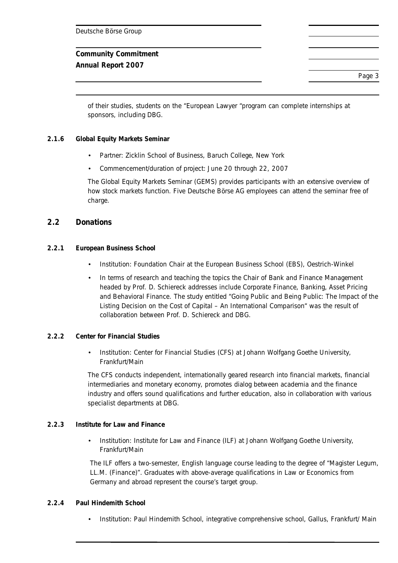# **Community Commitment**

**Annual Report 2007** 

Page 3

of their studies, students on the "European Lawyer "program can complete internships at sponsors, including DBG.

#### **2.1.6 Global Equity Markets Seminar**

- Partner: Zicklin School of Business, Baruch College, New York
- Commencement/duration of project: June 20 through 22, 2007

The Global Equity Markets Seminar (GEMS) provides participants with an extensive overview of how stock markets function. Five Deutsche Börse AG employees can attend the seminar free of charge.

#### **2.2 Donations**

- **2.2.1 European Business School** 
	- Institution: Foundation Chair at the European Business School (EBS), Oestrich-Winkel
	- In terms of research and teaching the topics the Chair of Bank and Finance Management headed by Prof. D. Schiereck addresses include Corporate Finance, Banking, Asset Pricing and Behavioral Finance. The study entitled "Going Public and Being Public: The Impact of the Listing Decision on the Cost of Capital – An International Comparison" was the result of collaboration between Prof. D. Schiereck and DBG.

#### **2.2.2 Center for Financial Studies**

• Institution: Center for Financial Studies (CFS) at Johann Wolfgang Goethe University, Frankfurt/Main

The CFS conducts independent, internationally geared research into financial markets, financial intermediaries and monetary economy, promotes dialog between academia and the finance industry and offers sound qualifications and further education, also in collaboration with various specialist departments at DBG.

#### **2.2.3 Institute for Law and Finance**

• Institution: Institute for Law and Finance (ILF) at Johann Wolfgang Goethe University, Frankfurt/Main

The ILF offers a two-semester, English language course leading to the degree of "Magister Legum, LL.M. (Finance)". Graduates with above-average qualifications in Law or Economics from Germany and abroad represent the course's target group.

#### **2.2.4 Paul Hindemith School**

• Institution: Paul Hindemith School, integrative comprehensive school, Gallus, Frankfurt/ Main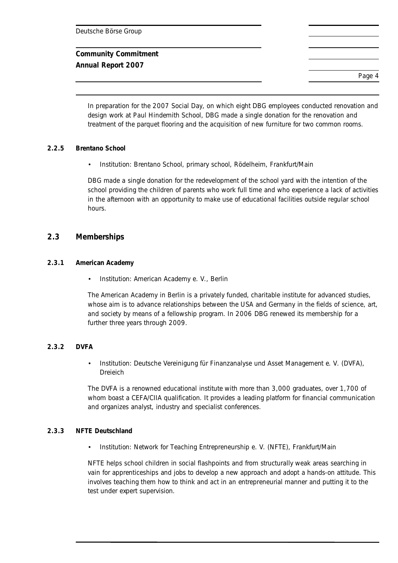# **Community Commitment Annual Report 2007**

Page 4

In preparation for the 2007 Social Day, on which eight DBG employees conducted renovation and design work at Paul Hindemith School, DBG made a single donation for the renovation and treatment of the parquet flooring and the acquisition of new furniture for two common rooms.

#### **2.2.5 Brentano School**

• Institution: Brentano School, primary school, Rödelheim, Frankfurt/Main

DBG made a single donation for the redevelopment of the school yard with the intention of the school providing the children of parents who work full time and who experience a lack of activities in the afternoon with an opportunity to make use of educational facilities outside regular school hours.

# **2.3 Memberships**

# **2.3.1 American Academy**

• Institution: American Academy e. V., Berlin

The American Academy in Berlin is a privately funded, charitable institute for advanced studies, whose aim is to advance relationships between the USA and Germany in the fields of science, art, and society by means of a fellowship program. In 2006 DBG renewed its membership for a further three years through 2009.

#### **2.3.2 DVFA**

• Institution: Deutsche Vereinigung für Finanzanalyse und Asset Management e. V. (DVFA), Dreieich

The DVFA is a renowned educational institute with more than 3,000 graduates, over 1,700 of whom boast a CEFA/CIIA qualification. It provides a leading platform for financial communication and organizes analyst, industry and specialist conferences.

#### **2.3.3 NFTE Deutschland**

• Institution: Network for Teaching Entrepreneurship e. V. (NFTE), Frankfurt/Main

NFTE helps school children in social flashpoints and from structurally weak areas searching in vain for apprenticeships and jobs to develop a new approach and adopt a hands-on attitude. This involves teaching them how to think and act in an entrepreneurial manner and putting it to the test under expert supervision.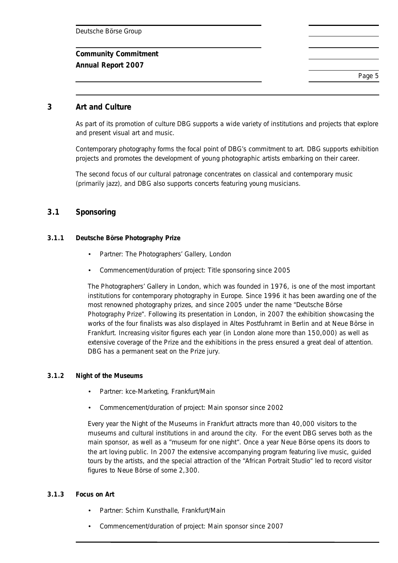# **Community Commitment Annual Report 2007**

Page 5

# **3 Art and Culture**

As part of its promotion of culture DBG supports a wide variety of institutions and projects that explore and present visual art and music.

Contemporary photography forms the focal point of DBG's commitment to art. DBG supports exhibition projects and promotes the development of young photographic artists embarking on their career.

The second focus of our cultural patronage concentrates on classical and contemporary music (primarily jazz), and DBG also supports concerts featuring young musicians.

# **3.1 Sponsoring**

#### **3.1.1 Deutsche Börse Photography Prize**

- Partner: The Photographers' Gallery, London
- Commencement/duration of project: Title sponsoring since 2005

The Photographers' Gallery in London, which was founded in 1976, is one of the most important institutions for contemporary photography in Europe. Since 1996 it has been awarding one of the most renowned photography prizes, and since 2005 under the name "Deutsche Börse Photography Prize". Following its presentation in London, in 2007 the exhibition showcasing the works of the four finalists was also displayed in Altes Postfuhramt in Berlin and at Neue Börse in Frankfurt. Increasing visitor figures each year (in London alone more than 150,000) as well as extensive coverage of the Prize and the exhibitions in the press ensured a great deal of attention. DBG has a permanent seat on the Prize jury.

#### **3.1.2 Night of the Museums**

- Partner: kce-Marketing, Frankfurt/Main
- Commencement/duration of project: Main sponsor since 2002

Every year the Night of the Museums in Frankfurt attracts more than 40,000 visitors to the museums and cultural institutions in and around the city. For the event DBG serves both as the main sponsor, as well as a "museum for one night". Once a year Neue Börse opens its doors to the art loving public. In 2007 the extensive accompanying program featuring live music, guided tours by the artists, and the special attraction of the "African Portrait Studio" led to record visitor figures to Neue Börse of some 2,300.

#### **3.1.3 Focus on Art**

- Partner: Schirn Kunsthalle, Frankfurt/Main
- Commencement/duration of project: Main sponsor since 2007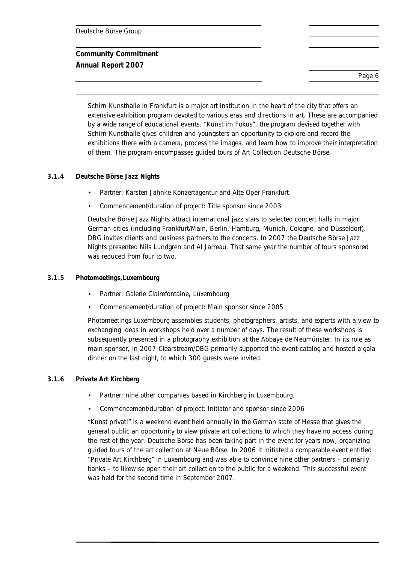# **Community Commitment Annual Report 2007**

Page 6

Schirn Kunsthalle in Frankfurt is a major art institution in the heart of the city that offers an extensive exhibition program devoted to various eras and directions in art. These are accompanied by a wide range of educational events. "Kunst im Fokus", the program devised together with Schirn Kunsthalle gives children and youngsters an opportunity to explore and record the exhibitions there with a camera, process the images, and learn how to improve their interpretation of them. The program encompasses guided tours of Art Collection Deutsche Börse.

#### **3.1.4 Deutsche Börse Jazz Nights**

- Partner: Karsten Jahnke Konzertagentur and Alte Oper Frankfurt
- Commencement/duration of project: Title sponsor since 2003

Deutsche Börse Jazz Nights attract international jazz stars to selected concert halls in major German cities (including Frankfurt/Main, Berlin, Hamburg, Munich, Cologne, and Düsseldorf). DBG invites clients and business partners to the concerts. In 2007 the Deutsche Börse Jazz Nights presented Nils Lundgren and Al Jarreau. That same year the number of tours sponsored was reduced from four to two.

#### **3.1.5 Photomeetings,Luxembourg**

- Partner: Galerie Clairefontaine, Luxembourg
- Commencement/duration of project: Main sponsor since 2005

Photomeetings Luxembourg assembles students, photographers, artists, and experts with a view to exchanging ideas in workshops held over a number of days. The result of these workshops is subsequently presented in a photography exhibition at the Abbaye de Neumünster. In its role as main sponsor, in 2007 Clearstream/DBG primarily supported the event catalog and hosted a gala dinner on the last night, to which 300 guests were invited.

#### **3.1.6 Private Art Kirchberg**

- Partner: nine other companies based in Kirchberg in Luxembourg.
- Commencement/duration of project: Initiator and sponsor since 2006

"Kunst privat!" is a weekend event held annually in the German state of Hesse that gives the general public an opportunity to view private art collections to which they have no access during the rest of the year. Deutsche Börse has been taking part in the event for years now, organizing guided tours of the art collection at Neue Börse. In 2006 it initiated a comparable event entitled "Private Art Kirchberg" in Luxembourg and was able to convince nine other partners – primarily banks – to likewise open their art collection to the public for a weekend. This successful event was held for the second time in September 2007.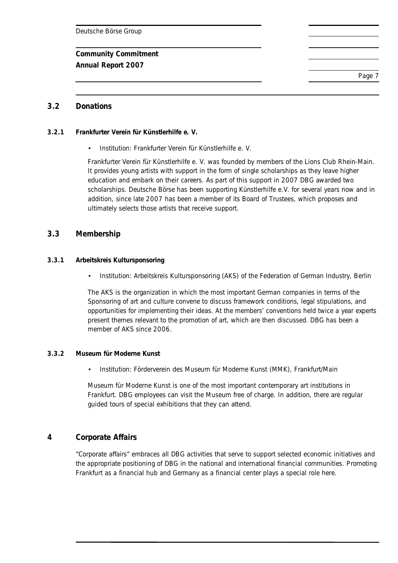**Community Commitment Annual Report 2007** 

Page 7

# **3.2 Donations**

- **3.2.1 Frankfurter Verein für Künstlerhilfe e. V.** 
	- Institution: Frankfurter Verein für Künstlerhilfe e. V.

Frankfurter Verein für Künstlerhilfe e. V. was founded by members of the Lions Club Rhein-Main. It provides young artists with support in the form of single scholarships as they leave higher education and embark on their careers. As part of this support in 2007 DBG awarded two scholarships. Deutsche Börse has been supporting Künstlerhilfe e.V. for several years now and in addition, since late 2007 has been a member of its Board of Trustees, which proposes and ultimately selects those artists that receive support.

# **3.3 Membership**

#### **3.3.1 Arbeitskreis Kultursponsoring**

• Institution: Arbeitskreis Kultursponsoring (AKS) of the Federation of German Industry, Berlin

The AKS is the organization in which the most important German companies in terms of the Sponsoring of art and culture convene to discuss framework conditions, legal stipulations, and opportunities for implementing their ideas. At the members' conventions held twice a year experts present themes relevant to the promotion of art, which are then discussed. DBG has been a member of AKS since 2006.

#### **3.3.2 Museum für Moderne Kunst**

• Institution: Förderverein des Museum für Moderne Kunst (MMK), Frankfurt/Main

Museum für Moderne Kunst is one of the most important contemporary art institutions in Frankfurt. DBG employees can visit the Museum free of charge. In addition, there are regular guided tours of special exhibitions that they can attend.

#### **4 Corporate Affairs**

"Corporate affairs" embraces all DBG activities that serve to support selected economic initiatives and the appropriate positioning of DBG in the national and international financial communities. Promoting Frankfurt as a financial hub and Germany as a financial center plays a special role here.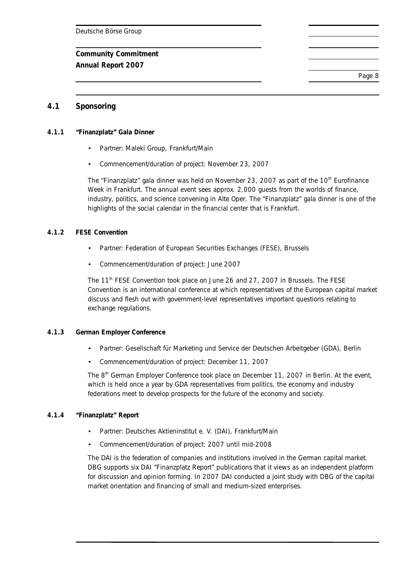# **Community Commitment**

**Annual Report 2007** 

Page 8

# **4.1 Sponsoring**

#### **4.1.1 "Finanzplatz" Gala Dinner**

- Partner: Maleki Group, Frankfurt/Main
- Commencement/duration of project: November 23, 2007

The "Finanzplatz" gala dinner was held on November 23, 2007 as part of the  $10<sup>th</sup>$  Eurofinance Week in Frankfurt. The annual event sees approx. 2,000 guests from the worlds of finance, industry, politics, and science convening in Alte Oper. The "Finanzplatz" gala dinner is one of the highlights of the social calendar in the financial center that is Frankfurt.

#### **4.1.2 FESE Convention**

- Partner: Federation of European Securities Exchanges (FESE), Brussels
- Commencement/duration of project: June 2007

The 11<sup>th</sup> FESE Convention took place on June 26 and 27, 2007 in Brussels. The FESE Convention is an international conference at which representatives of the European capital market discuss and flesh out with government-level representatives important questions relating to exchange regulations.

#### **4.1.3 German Employer Conference**

- Partner: Gesellschaft für Marketing und Service der Deutschen Arbeitgeber (GDA), Berlin
- Commencement/duration of project: December 11, 2007

The 8<sup>th</sup> German Employer Conference took place on December 11, 2007 in Berlin. At the event, which is held once a year by GDA representatives from politics, the economy and industry federations meet to develop prospects for the future of the economy and society.

#### **4.1.4 "Finanzplatz" Report**

- Partner: Deutsches Aktieninstitut e. V. (DAI), Frankfurt/Main
- Commencement/duration of project: 2007 until mid-2008

The DAI is the federation of companies and institutions involved in the German capital market. DBG supports six DAI "Finanzplatz Report" publications that it views as an independent platform for discussion and opinion forming. In 2007 DAI conducted a joint study with DBG of the capital market orientation and financing of small and medium-sized enterprises.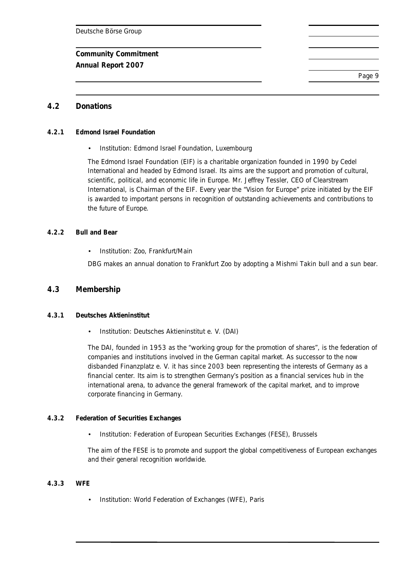# **Community Commitment Annual Report 2007**

Page 9

# **4.2 Donations**

#### **4.2.1 Edmond Israel Foundation**

Institution: Edmond Israel Foundation, Luxembourg

The Edmond Israel Foundation (EIF) is a charitable organization founded in 1990 by Cedel International and headed by Edmond Israel. Its aims are the support and promotion of cultural, scientific, political, and economic life in Europe. Mr. Jeffrey Tessler, CEO of Clearstream International, is Chairman of the EIF. Every year the "Vision for Europe" prize initiated by the EIF is awarded to important persons in recognition of outstanding achievements and contributions to the future of Europe.

#### **4.2.2 Bull and Bear**

• Institution: Zoo, Frankfurt/Main

DBG makes an annual donation to Frankfurt Zoo by adopting a Mishmi Takin bull and a sun bear.

#### **4.3 Membership**

#### **4.3.1 Deutsches Aktieninstitut**

• Institution: Deutsches Aktieninstitut e. V. (DAI)

The DAI, founded in 1953 as the "working group for the promotion of shares", is the federation of companies and institutions involved in the German capital market. As successor to the now disbanded Finanzplatz e. V. it has since 2003 been representing the interests of Germany as a financial center. Its aim is to strengthen Germany's position as a financial services hub in the international arena, to advance the general framework of the capital market, and to improve corporate financing in Germany.

#### **4.3.2 Federation of Securities Exchanges**

• Institution: Federation of European Securities Exchanges (FESE), Brussels

The aim of the FESE is to promote and support the global competitiveness of European exchanges and their general recognition worldwide.

#### **4.3.3 WFE**

• Institution: World Federation of Exchanges (WFE), Paris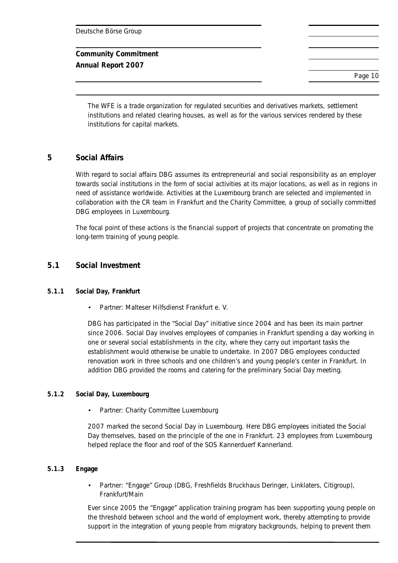**Community Commitment Annual Report 2007** 

Page 10

The WFE is a trade organization for regulated securities and derivatives markets, settlement institutions and related clearing houses, as well as for the various services rendered by these institutions for capital markets.

# **5 Social Affairs**

With regard to social affairs DBG assumes its entrepreneurial and social responsibility as an employer towards social institutions in the form of social activities at its major locations, as well as in regions in need of assistance worldwide. Activities at the Luxembourg branch are selected and implemented in collaboration with the CR team in Frankfurt and the Charity Committee, a group of socially committed DBG employees in Luxembourg.

The focal point of these actions is the financial support of projects that concentrate on promoting the long-term training of young people.

# **5.1 Social Investment**

#### **5.1.1 Social Day, Frankfurt**

• Partner: Malteser Hilfsdienst Frankfurt e. V.

DBG has participated in the "Social Day" initiative since 2004 and has been its main partner since 2006. Social Day involves employees of companies in Frankfurt spending a day working in one or several social establishments in the city, where they carry out important tasks the establishment would otherwise be unable to undertake. In 2007 DBG employees conducted renovation work in three schools and one children's and young people's center in Frankfurt. In addition DBG provided the rooms and catering for the preliminary Social Day meeting.

#### **5.1.2 Social Day, Luxembourg**

• Partner: Charity Committee Luxembourg

2007 marked the second Social Day in Luxembourg. Here DBG employees initiated the Social Day themselves, based on the principle of the one in Frankfurt. 23 employees from Luxembourg helped replace the floor and roof of the SOS Kannerduerf Kannerland.

#### **5.1.3 Engage**

• Partner: "Engage" Group (DBG, Freshfields Bruckhaus Deringer, Linklaters, Citigroup), Frankfurt/Main

Ever since 2005 the "Engage" application training program has been supporting young people on the threshold between school and the world of employment work, thereby attempting to provide support in the integration of young people from migratory backgrounds, helping to prevent them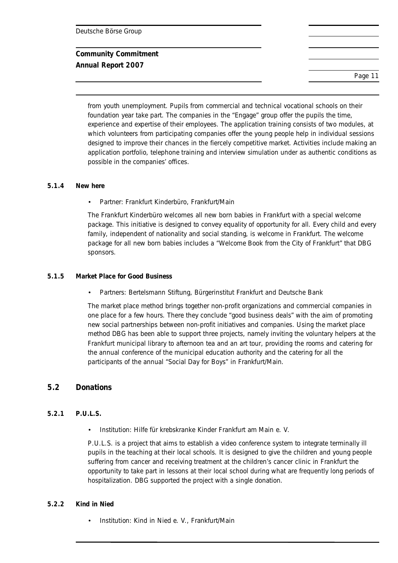**Community Commitment Annual Report 2007** 

Page 11

from youth unemployment. Pupils from commercial and technical vocational schools on their foundation year take part. The companies in the "Engage" group offer the pupils the time, experience and expertise of their employees. The application training consists of two modules, at which volunteers from participating companies offer the young people help in individual sessions designed to improve their chances in the fiercely competitive market. Activities include making an application portfolio, telephone training and interview simulation under as authentic conditions as possible in the companies' offices.

#### **5.1.4 New here**

• Partner: Frankfurt Kinderbüro, Frankfurt/Main

The Frankfurt Kinderbüro welcomes all new born babies in Frankfurt with a special welcome package. This initiative is designed to convey equality of opportunity for all. Every child and every family, independent of nationality and social standing, is welcome in Frankfurt. The welcome package for all new born babies includes a "Welcome Book from the City of Frankfurt" that DBG sponsors.

#### **5.1.5 Market Place for Good Business**

• Partners: Bertelsmann Stiftung, Bürgerinstitut Frankfurt and Deutsche Bank

The market place method brings together non-profit organizations and commercial companies in one place for a few hours. There they conclude "good business deals" with the aim of promoting new social partnerships between non-profit initiatives and companies. Using the market place method DBG has been able to support three projects, namely inviting the voluntary helpers at the Frankfurt municipal library to afternoon tea and an art tour, providing the rooms and catering for the annual conference of the municipal education authority and the catering for all the participants of the annual "Social Day for Boys" in Frankfurt/Main.

# **5.2 Donations**

#### **5.2.1 P.U.L.S.**

• Institution: Hilfe für krebskranke Kinder Frankfurt am Main e. V.

P.U.L.S. is a project that aims to establish a video conference system to integrate terminally ill pupils in the teaching at their local schools. It is designed to give the children and young people suffering from cancer and receiving treatment at the children's cancer clinic in Frankfurt the opportunity to take part in lessons at their local school during what are frequently long periods of hospitalization. DBG supported the project with a single donation.

#### **5.2.2 Kind in Nied**

• Institution: Kind in Nied e. V., Frankfurt/Main